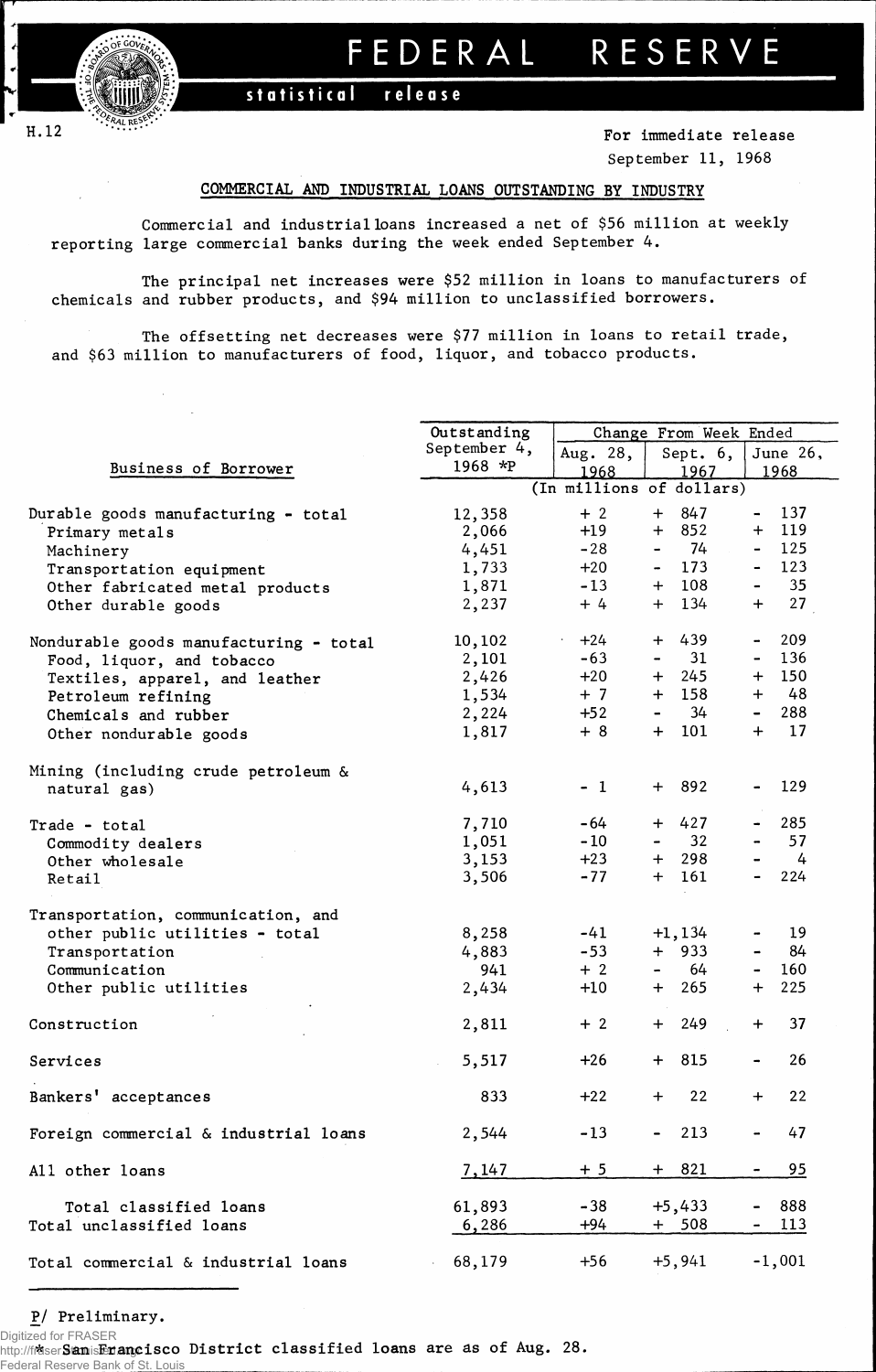

*T* 

# FEDERA L RESERV E

 $stratistical$  **release** 

H.12 **For immediate release** September 11, 1968

# **COMMERCIAL AND INDUSTRIAL LOANS OUTSTANDING BY INDUSTRY**

Commercial and industrial loans increased a net of \$56 million at weekly reporting large commercial banks during the week ended September 4.

The principal net increases were \$52 million in loans to manufacturers of chemicals and rubber products, and \$94 million to unclassified borrowers.

The offsetting net decreases were \$77 million in loans to retail trade, and \$63 million to manufacturers of food, liquor, and tobacco products.

|                                        | Outstanding  |                          |                | Change From Week Ended |                  |               |  |  |  |
|----------------------------------------|--------------|--------------------------|----------------|------------------------|------------------|---------------|--|--|--|
|                                        | September 4, | Aug. 28,                 |                | Sept. 6,               | June 26,         |               |  |  |  |
| Business of Borrower                   | 1968 *P      | 1968                     |                | 1967                   | 1968             |               |  |  |  |
|                                        |              | (In millions of dollars) |                |                        |                  |               |  |  |  |
| Durable goods manufacturing - total    | 12,358       | $+2$                     |                | $+ 847$                | $\blacksquare$   | 137           |  |  |  |
| Primary metals                         | 2,066        | $+19$                    |                | $+ 852$                | $+$              | 119           |  |  |  |
| Machinery                              | 4,451        | $-28$                    | $\blacksquare$ | - 74                   | $\blacksquare$   | 125           |  |  |  |
| Transportation equipment               | 1,733        | $+20$                    |                | $-173$                 | $\blacksquare$   | 123           |  |  |  |
| Other fabricated metal products        | 1,871        | $-13$                    |                | $+ 108$                | $\blacksquare$   | 35            |  |  |  |
| Other durable goods                    | 2,237        | $+4$                     |                | $+ 134$                | $+$              | 27            |  |  |  |
|                                        |              |                          |                |                        |                  |               |  |  |  |
| Nondurable goods manufacturing - total | 10,102       | $+24$<br>$\sim$          |                | $+ 439$                | $\blacksquare$   | 209           |  |  |  |
| Food, liquor, and tobacco              | 2,101        | $-63$                    | $\blacksquare$ | 31                     | $\blacksquare$   | 136           |  |  |  |
| Textiles, apparel, and leather         | 2,426        | $+20$                    |                | $+ 245$                | $+$              | 150           |  |  |  |
| Petroleum refining                     | 1,534        | $+7$                     |                | $+ 158$                |                  | $+ 48$        |  |  |  |
| Chemicals and rubber                   | 2,224        | $+52$                    | $\blacksquare$ | 34                     |                  | 288           |  |  |  |
| Other nondurable goods                 | 1,817        | $+8$                     |                | $+ 101$                | $+$              | 17            |  |  |  |
| Mining (including crude petroleum &    |              |                          |                |                        |                  |               |  |  |  |
| natural gas)                           | 4,613        | $-1$                     |                | $+ 892$                |                  | 129           |  |  |  |
| Trade - total                          | 7,710        | -64                      |                | $+ 427$                | $\blacksquare$   | 285           |  |  |  |
| Commodity dealers                      | 1,051        | $-10$                    | $\blacksquare$ | 32                     |                  | 57            |  |  |  |
| Other wholesale                        | 3,153        | $+23$                    |                | $+ 298$                |                  | $\frac{1}{4}$ |  |  |  |
| Retail                                 | 3,506        | $-77$                    |                | $+ 161$                |                  | 224           |  |  |  |
| Transportation, communication, and     |              |                          |                |                        |                  |               |  |  |  |
| other public utilities - total         | 8,258        | $-41$                    |                | $+1,134$               | $\blacksquare$   | 19            |  |  |  |
| Transportation                         | 4,883        | $-53$                    |                | $+$ 933                | $\blacksquare$ . | 84            |  |  |  |
| Communication                          | 941          | $+2$                     | $\blacksquare$ | 64                     | $\sim$           | 160           |  |  |  |
| Other public utilities                 | 2,434        | $+10$                    |                | $+ 265$                | $+$              | 225           |  |  |  |
| Construction                           | 2,811        | $+2$                     |                | $+ 249$                | $+$              | 37            |  |  |  |
| Services                               | 5,517        | $+26$                    |                | $+ 815$                | $\blacksquare$   | 26            |  |  |  |
| Bankers' acceptances                   | 833          | $+22$                    |                | $+$ 22                 | $+$              | 22            |  |  |  |
| Foreign commercial & industrial loans  | 2,544        | $-13$                    |                | 213                    |                  | 47            |  |  |  |
| All other loans                        | 7,147        | $+5$                     |                | $+ 821$                |                  | <u>95</u>     |  |  |  |
| Total classified loans                 | 61,893       | $-38$                    |                | $+5,433$               |                  | 888           |  |  |  |
| Total unclassified loans               | 6,286        | +94                      |                | $+ 508$                |                  | <u>113</u>    |  |  |  |
| Total commercial & industrial loans    | 68,179       | $+56$                    |                | $+5,941$               |                  | $-1,001$      |  |  |  |

P/ Preliminary.

http://fraser ${\tt S}$ a ${\tt m}$ is ${\tt E}$ na ${\tt n}$ grisco District classified loans are as of Aug. 28. Digitized for FRASER **Federal Reserve Bank of St.**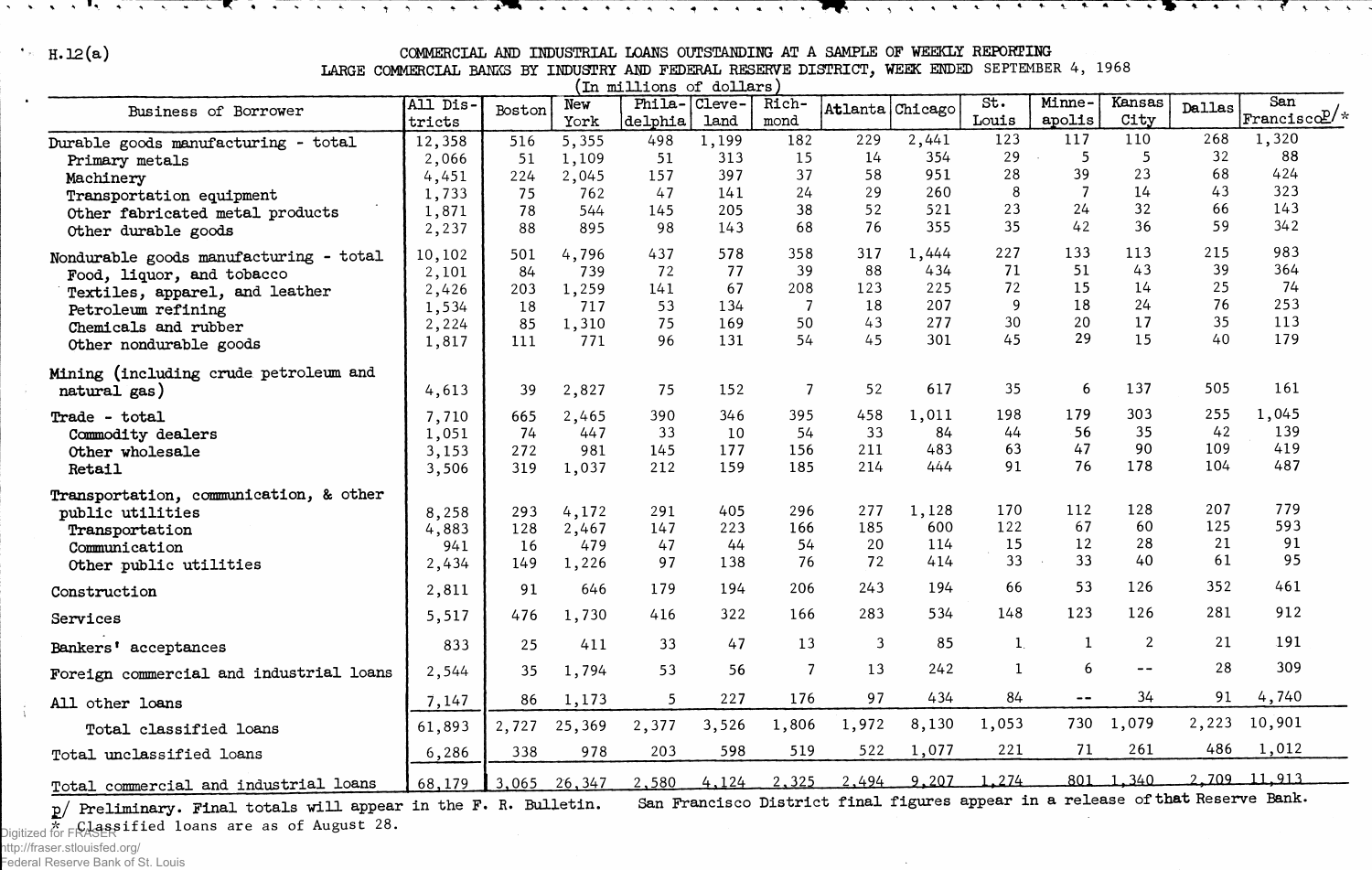$\bullet$ 

### **H.12(a)** COMMERCIAL AND INDUSTRIAL LOANS OUTSTANDING AT A SAMPLE OF WEEKLY REPORTING

 $\mathcal{L}$  , and the second set of the second set of  $\mathbb{R}^m$  , and a second set of  $\mathbb{R}^n$  , and set of  $\mathbb{R}^n$  it is the set of  $\mathbb{R}^n$  , and

LARGE COMMERCIAL BANKS BY INDUSTRY AND FEDERAL RESERVE DISTRICT, WEEK ENDED SEPTEMBER 4, 1968<br>(In millions of dollars)

|                                                       |                  |        | مصعب          | .                 | ື              | . .           |          |            |              |                  |                |               |                             |
|-------------------------------------------------------|------------------|--------|---------------|-------------------|----------------|---------------|----------|------------|--------------|------------------|----------------|---------------|-----------------------------|
| Business of Borrower                                  | All Dis-         | Boston | New           | Phila-<br>delphia | Cleve-<br>land | Rich-<br>mond | Atlanta  | Chicago    | St.<br>Louis | Minne-<br>apolis | Kansas<br>City | <b>Dallas</b> | San<br>$ $ Francisco $P$ /* |
|                                                       | tricts<br>12,358 | 516    | York<br>5,355 | 498               | 1,199          | 182           | 229      | 2,441      | 123          | 117              | 110            | 268           | 1,320                       |
| Durable goods manufacturing - total<br>Primary metals | 2,066            | 51     | 1,109         | 51                | 313            | 15            | 14       | 354        | 29           | 5                | 5              | 32            | 88                          |
| Machinery                                             | 4,451            | 224    | 2,045         | 157               | 397            | 37            | 58       | 951        | 28           | 39               | 23             | 68            | 424                         |
| Transportation equipment                              | 1,733            | 75     | 762           | 47                | 141            | 24            | 29       | 260        | 8            | 7                | 14             | 43            | 323                         |
| Other fabricated metal products                       | 1,871            | 78     | 544           | 145               | 205            | 38            | 52       | 521        | 23           | 24               | 32             | 66            | 143                         |
| Other durable goods                                   | 2,237            | 88     | 895           | 98                | 143            | 68            | 76       | 355        | 35           | 42               | 36             | 59            | 342                         |
| Nondurable goods manufacturing - total                | 10,102           | 501    | 4,796         | 437               | 578            | 358           | 317      | 1,444      | 227          | 133              | 113            | 215           | 983                         |
| Food, liquor, and tobacco                             | 2,101            | 84     | 739           | 72                | 77             | 39            | 88       | 434        | 71           | 51               | 43             | 39            | 364                         |
| Textiles, apparel, and leather                        | 2,426            | 203    | 1,259         | 141               | 67             | 208           | 123      | 225        | 72           | 15               | 14             | 25            | 74                          |
| Petroleum refining                                    | 1,534            | 18     | 717           | 53                | 134            | 7             | 18       | 207        | 9            | 18               | 24             | 76            | 253<br>113                  |
| Chemicals and rubber                                  | 2,224            | 85     | 1,310         | 75<br>96          | 169<br>131     | 50<br>54      | 43<br>45 | 277<br>301 | 30<br>45     | 20<br>29         | 17<br>15       | 35<br>40      | 179                         |
| Other nondurable goods                                | 1,817            | 111    | 771           |                   |                |               |          |            |              |                  |                |               |                             |
| Mining (including crude petroleum and<br>natural gas) | 4,613            | 39     | 2,827         | 75                | 152            | 7             | 52       | 617        | 35           | 6                | 137            | 505           | 161                         |
| Trade - total                                         | 7,710            | 665    | 2,465         | 390               | 346            | 395           | 458      | 1,011      | 198          | 179              | 303            | 255           | 1,045                       |
| Commodity dealers                                     | 1,051            | 74     | 447           | 33                | 10             | 54            | 33       | 84         | 44           | 56               | 35             | 42            | 139                         |
| Other wholesale                                       | 3,153            | 272    | 981           | 145               | 177            | 156           | 211      | 483        | 63           | 47               | 90             | 109           | 419                         |
| Retail                                                | 3,506            | 319    | 1,037         | 212               | 159            | 185           | 214      | 444        | 91           | 76               | 178            | 104           | 487                         |
| Transportation, communication, & other                |                  |        |               |                   |                |               |          |            |              |                  |                |               |                             |
| public utilities                                      | 8,258            | 293    | 4,172         | 291               | 405            | 296           | 277      | 1,128      | 170          | 112              | 128            | 207           | 779                         |
| Transportation                                        | 4,883            | 128    | 2,467         | 147               | 223            | 166           | 185      | 600        | 122          | 67               | 60             | 125<br>21     | 593<br>91                   |
| Communication                                         | 941              | 16     | 479           | 47                | 44<br>138      | 54<br>76      | 20<br>72 | 114<br>414 | 15<br>33     | 12<br>33         | 28<br>40       | 61            | 95                          |
| Other public utilities                                | 2,434            | 149    | 1,226         | 97                |                |               |          |            |              |                  |                |               |                             |
| Construction                                          | 2,811            | 91     | 646           | 179               | 194            | 206           | 243      | 194        | 66           | 53               | 126            | 352           | 461                         |
| Services                                              | 5,517            | 476    | 1,730         | 416               | 322            | 166           | 283      | 534        | 148          | 123              | 126            | 281           | 912                         |
| Bankers' acceptances                                  | 833              | 25     | 411           | 33                | 47             | 13            | 3        | 85         | $\mathbf{1}$ | 1                | $\overline{2}$ | 21            | 191                         |
| Foreign commercial and industrial loans               | 2,544            | 35     | 1,794         | 53                | 56             | 7             | 13       | 242        | $\mathbf{1}$ | 6                | --             | 28            | 309                         |
| All other loans                                       | 7,147            | 86     | 1,173         | 5                 | 227            | 176           | 97       | 434        | 84           | $ -$             | 34             | 91            | 4,740                       |
| Total classified loans                                | 61,893           | 2,727  | 25,369        | 2,377             | 3,526          | 1,806         | 1,972    | 8,130      | 1,053        | 730              | 1,079          | 2,223         | 10,901                      |
| Total unclassified loans                              | 6,286            | 338    | 978           | 203               | 598            | 519           | 522      | 1,077      | 221          | 71               | 261            | 486           | 1,012                       |
| Total commercial and industrial loans                 | 68,179           | 3,065  | 26,347        | 2,580             | 4,124          | 2,325         | 2,494    | 9,207      | 1.274        |                  | 801 1.340      |               | 2.709 11,913                |

2/ Preliminary. Final totals will appear

San Francisco District final figures appear in a release of that Reserve Bank.

 $\sim$ 

**\* Classified loans are as of August** 28. Digitized for FRASER

 $\frac{1}{3}$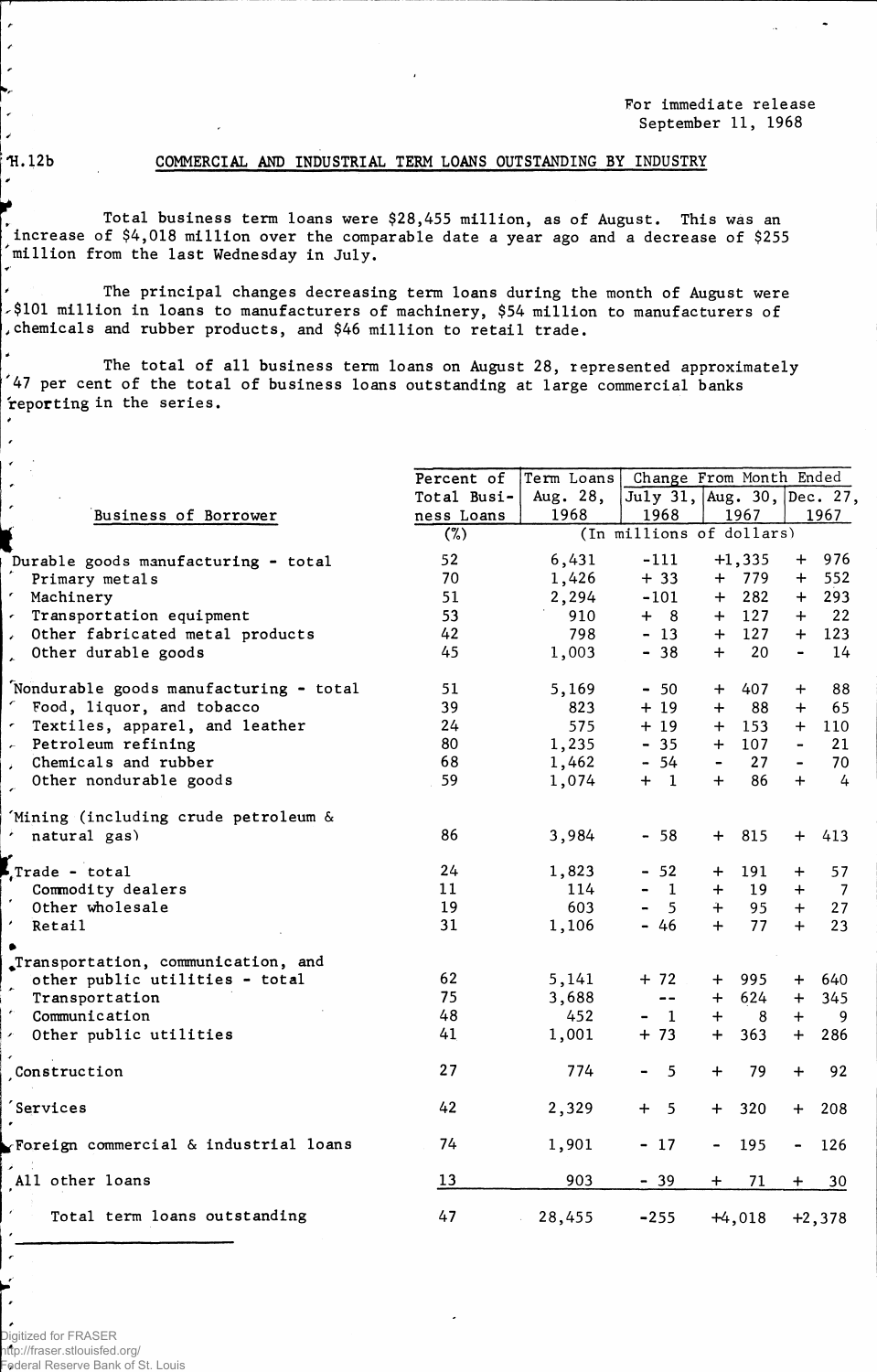For immediate release September 11, 1968

 $\lambda$ 

 $\epsilon$ 

# H. 12b COMMERCIAL AND INDUSTRIAL TERM LOANS OUTSTANDING BY INDUSTRY

Total business term loans were \$28,455 million, as of August, This was an increase of \$4,018 million over the comparable date a year ago and a decrease of \$255 million from the last Wednesday in July.

The principal changes decreasing term loans during the month of August were \$101 million in loans to manufacturers of machinery, \$54 million to manufacturers of chemicals and rubber products, and \$46 million to retail trade.

The total of all business term loans on August 28, represented approximately  $^\prime$ 47 per cent of the total of business loans outstanding at large commercial banks reporting in the series.

|                                        | Percent of  | Term Loans |                 | Change From Month Ended    |                                     |  |  |
|----------------------------------------|-------------|------------|-----------------|----------------------------|-------------------------------------|--|--|
|                                        | Total Busi- | Aug. 28,   |                 | July 31, Aug. 30, Dec. 27, |                                     |  |  |
| Business of Borrower                   | ness Loans  | 1968       | 1968            | 1967                       | 1967                                |  |  |
|                                        | (%)         |            |                 | (In millions of dollars)   |                                     |  |  |
| Durable goods manufacturing - total    | 52          | 6,431      | $-111$          | $+1,335$                   | 976<br>$+$                          |  |  |
| Primary metals                         | 70          | 1,426      | $+33$           | $+ 779$                    | 552<br>$\pm$                        |  |  |
| ' Machinery                            | 51          | 2,294      | $-101$          | 282<br>$+$                 | 293<br>$+$                          |  |  |
| - Transportation equipment             | 53          | 910        | $+ 8$           | $+ 127$                    | 22<br>$+$                           |  |  |
| Other fabricated metal products        | 42          | 798        | $-13$           | $+ 127$                    | 123<br>$+$                          |  |  |
| Other durable goods                    | 45          | 1,003      | $-38$           | 20<br>$+$                  | 14<br>$\qquad \qquad \blacksquare$  |  |  |
| Nondurable goods manufacturing - total | 51          | 5,169      | $-50$           | 407<br>$\ddot{}$           | 88<br>$\div$                        |  |  |
| C.<br>Food, liquor, and tobacco        | 39          | 823        | $+19$           | 88<br>$\ddot{}$            | 65<br>$+$                           |  |  |
| Textiles, apparel, and leather         | 24          | 575        | $+19$           | 153<br>$+$                 | 110<br>$+$                          |  |  |
| Petroleum refining                     | 80          | 1,235      | $-35$           | 107<br>$+$                 | 21<br>$\blacksquare$                |  |  |
| Chemicals and rubber                   | 68          | 1,462      | $-54$           | 27                         | 70                                  |  |  |
| Other nondurable goods                 | 59          | 1,074      | $+ 1$           | 86<br>$+$                  | 4<br>$\ddot{+}$                     |  |  |
| 'Mining (including crude petroleum &   |             |            |                 |                            |                                     |  |  |
| natural gas)                           | 86          | 3,984      | $-58$           | 815<br>$+$                 | $+$<br>413                          |  |  |
| Trade - total                          | 24          | 1,823      | $-52$           | 191<br>$+$                 | 57<br>$+$                           |  |  |
| Commodity dealers                      | 11          | 114        | $\mathbf{1}$    | 19<br>$\div$               | $\overline{7}$<br>$+$               |  |  |
| Other wholesale                        | 19          | 603        | $5^{\circ}$     | 95<br>$+$                  | 27<br>$+$                           |  |  |
| Retail                                 | 31          | 1,106      | $-46$           | 77<br>$+$                  | 23<br>$+$                           |  |  |
| Transportation, communication, and     |             |            |                 |                            |                                     |  |  |
| other public utilities - total         | 62          | 5,141      | $+ 72$          | 995<br>$\div$              | 640<br>$+$                          |  |  |
| $\star$<br>Transportation              | 75          | 3,688      | $- -$           | 624<br>$+$                 | 345<br>$\ddot{}$                    |  |  |
| Communication                          | 48          | 452        | - 1             | $+$<br>- 8                 | $+$<br>9                            |  |  |
| Other public utilities<br>×            | 41          | 1,001      | $+ 73$          | 363<br>$\ddot{}$           | 286<br>$+$                          |  |  |
|                                        |             |            |                 |                            |                                     |  |  |
| Construction                           | 27          | 774        | $5\overline{)}$ | 79<br>$\div$               | 92<br>$+$                           |  |  |
| Services                               | 42          | 2,329      | $+ 5$           | $+$<br>320                 | 208<br>$+$                          |  |  |
| Foreign commercial & industrial loans  | 74          | 1,901      | $-17$           | 195                        | 126<br>$\qquad \qquad \blacksquare$ |  |  |
| All other loans                        | 13          | 903        | $-39$           | 71<br>$+$                  | 30<br>$\pm$                         |  |  |
| Total term loans outstanding           | 47          | 28,455     | $-255$          | $+4,018$                   | $+2,378$                            |  |  |
|                                        |             |            |                 |                            |                                     |  |  |

 $\lambda$